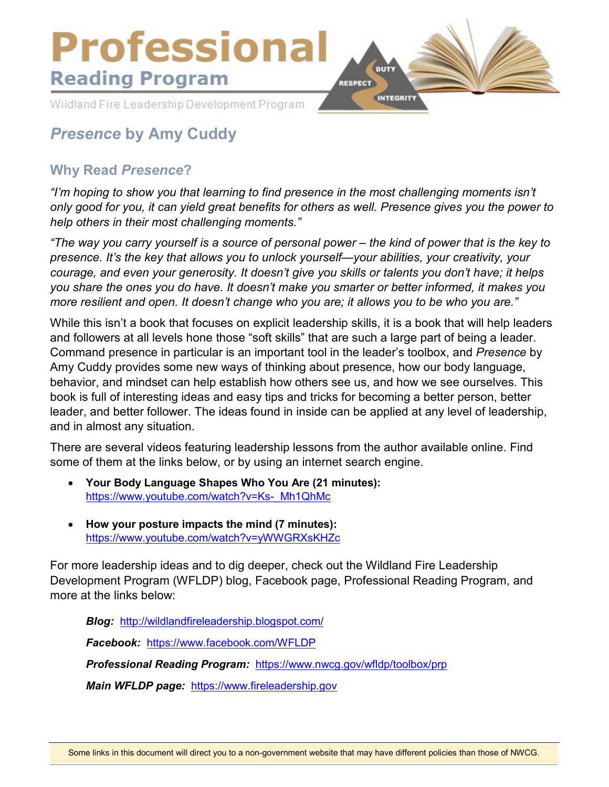

# *Presence* **by Amy Cuddy**

# **Why Read** *Presence***?**

*"I'm hoping to show you that learning to find presence in the most challenging moments isn't only good for you, it can yield great benefits for others as well. Presence gives you the power to help others in their most challenging moments."*

*"The way you carry yourself is a source of personal power – the kind of power that is the key to presence. It's the key that allows you to unlock yourself—your abilities, your creativity, your courage, and even your generosity. It doesn't give you skills or talents you don't have; it helps you share the ones you do have. It doesn't make you smarter or better informed, it makes you more resilient and open. It doesn't change who you are; it allows you to be who you are."*

While this isn't a book that focuses on explicit leadership skills, it is a book that will help leaders and followers at all levels hone those "soft skills" that are such a large part of being a leader. Command presence in particular is an important tool in the leader's toolbox, and *Presence* by Amy Cuddy provides some new ways of thinking about presence, how our body language, behavior, and mindset can help establish how others see us, and how we see ourselves. This book is full of interesting ideas and easy tips and tricks for becoming a better person, better leader, and better follower. The ideas found in inside can be applied at any level of leadership, and in almost any situation.

There are several videos featuring leadership lessons from the author available online. Find some of them at the links below, or by using an internet search engine.

- **Your Body Language Shapes Who You Are (21 minutes):**  [https://www.youtube.com/watch?v=Ks-\\_Mh1QhMc](https://www.youtube.com/watch?v=Ks-_Mh1QhMc)
- **How your posture impacts the mind (7 minutes):**  <https://www.youtube.com/watch?v=yWWGRXsKHZc>

For more leadership ideas and to dig deeper, check out the Wildland Fire Leadership Development Program (WFLDP) blog, Facebook page, Professional Reading Program, and more at the links below:

*Blog:* <http://wildlandfireleadership.blogspot.com/> *Facebook:* <https://www.facebook.com/WFLDP> *Professional Reading Program:* <https://www.nwcg.gov/wfldp/toolbox/prp> *Main WFLDP page:* [https://www.fireleadership.gov](https://www.fireleadership.gov/)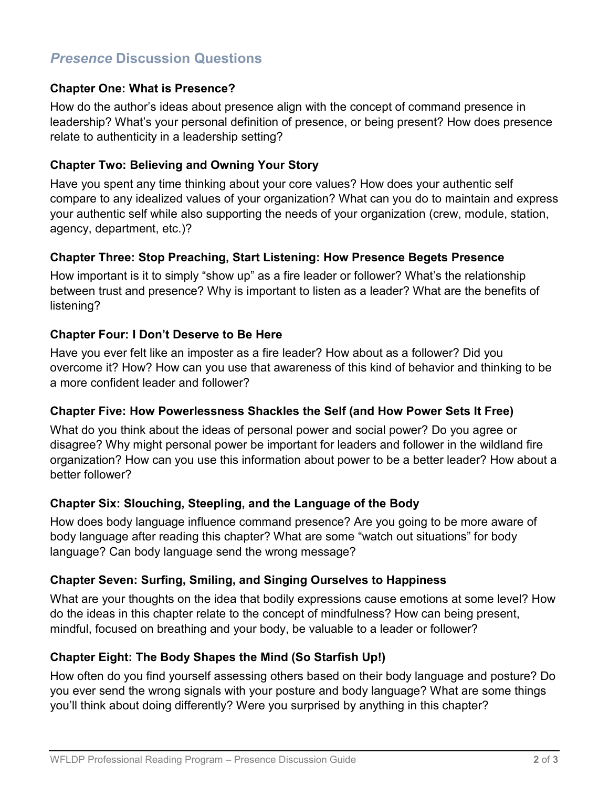# *Presence* **Discussion Questions**

# **Chapter One: What is Presence?**

How do the author's ideas about presence align with the concept of command presence in leadership? What's your personal definition of presence, or being present? How does presence relate to authenticity in a leadership setting?

#### **Chapter Two: Believing and Owning Your Story**

Have you spent any time thinking about your core values? How does your authentic self compare to any idealized values of your organization? What can you do to maintain and express your authentic self while also supporting the needs of your organization (crew, module, station, agency, department, etc.)?

#### **Chapter Three: Stop Preaching, Start Listening: How Presence Begets Presence**

How important is it to simply "show up" as a fire leader or follower? What's the relationship between trust and presence? Why is important to listen as a leader? What are the benefits of listening?

# **Chapter Four: I Don't Deserve to Be Here**

Have you ever felt like an imposter as a fire leader? How about as a follower? Did you overcome it? How? How can you use that awareness of this kind of behavior and thinking to be a more confident leader and follower?

#### **Chapter Five: How Powerlessness Shackles the Self (and How Power Sets It Free)**

What do you think about the ideas of personal power and social power? Do you agree or disagree? Why might personal power be important for leaders and follower in the wildland fire organization? How can you use this information about power to be a better leader? How about a better follower?

# **Chapter Six: Slouching, Steepling, and the Language of the Body**

How does body language influence command presence? Are you going to be more aware of body language after reading this chapter? What are some "watch out situations" for body language? Can body language send the wrong message?

# **Chapter Seven: Surfing, Smiling, and Singing Ourselves to Happiness**

What are your thoughts on the idea that bodily expressions cause emotions at some level? How do the ideas in this chapter relate to the concept of mindfulness? How can being present, mindful, focused on breathing and your body, be valuable to a leader or follower?

# **Chapter Eight: The Body Shapes the Mind (So Starfish Up!)**

How often do you find yourself assessing others based on their body language and posture? Do you ever send the wrong signals with your posture and body language? What are some things you'll think about doing differently? Were you surprised by anything in this chapter?